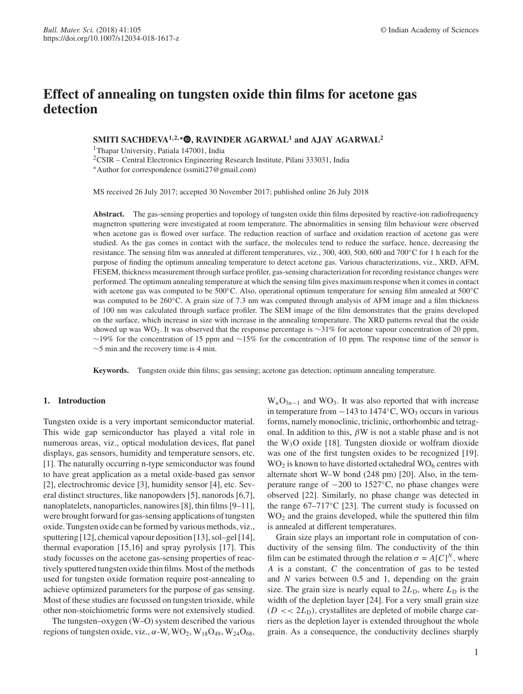# **Effect of annealing on tungsten oxide thin films for acetone gas detection**

## **SMITI SACHDEVA1**,**2**,<sup>∗</sup> **, RAVINDER AGARWAL<sup>1</sup> and AJAY AGARWAL<sup>2</sup>**

<sup>1</sup>Thapar University, Patiala 147001, India

<sup>2</sup>CSIR – Central Electronics Engineering Research Institute, Pilani 333031, India

<sup>∗</sup>Author for correspondence (ssmiti27@gmail.com)

MS received 26 July 2017; accepted 30 November 2017; published online 26 July 2018

**Abstract.** The gas-sensing properties and topology of tungsten oxide thin films deposited by reactive-ion radiofrequency magnetron sputtering were investigated at room temperature. The abnormalities in sensing film behaviour were observed when acetone gas is flowed over surface. The reduction reaction of surface and oxidation reaction of acetone gas were studied. As the gas comes in contact with the surface, the molecules tend to reduce the surface, hence, decreasing the resistance. The sensing film was annealed at different temperatures, viz., 300, 400, 500, 600 and 700◦C for 1 h each for the purpose of finding the optimum annealing temperature to detect acetone gas. Various characterizations, viz., XRD, AFM, FESEM, thickness measurement through surface profiler, gas-sensing characterization for recording resistance changes were performed. The optimum annealing temperature at which the sensing film gives maximum response when it comes in contact with acetone gas was computed to be 500◦C. Also, operational optimum temperature for sensing film annealed at 500◦C was computed to be 260◦C. A grain size of 7.3 nm was computed through analysis of AFM image and a film thickness of 100 nm was calculated through surface profiler. The SEM image of the film demonstrates that the grains developed on the surface, which increase in size with increase in the annealing temperature. The XRD patterns reveal that the oxide showed up was WO2. It was observed that the response percentage is ∼31% for acetone vapour concentration of 20 ppm, ∼19% for the concentration of 15 ppm and ∼15% for the concentration of 10 ppm. The response time of the sensor is ∼5 min and the recovery time is 4 min.

**Keywords.** Tungsten oxide thin films; gas sensing; acetone gas detection; optimum annealing temperature.

## **1. Introduction**

Tungsten oxide is a very important semiconductor material. This wide gap semiconductor has played a vital role in numerous areas, viz., optical modulation devices, flat panel displays, gas sensors, humidity and temperature sensors, etc. [1]. The naturally occurring n-type semiconductor was found to have great application as a metal oxide-based gas sensor [2], electrochromic device [3], humidity sensor [4], etc. Several distinct structures, like nanopowders [5], nanorods [6,7], nanoplatelets, nanoparticles, nanowires [8], thin films [9–11], were brought forward for gas-sensing applications of tungsten oxide. Tungsten oxide can be formed by various methods, viz., sputtering [12], chemical vapour deposition [13], sol–gel [14], thermal evaporation [15,16] and spray pyrolysis [17]. This study focusses on the acetone gas-sensing properties of reactively sputtered tungsten oxide thin films. Most of the methods used for tungsten oxide formation require post-annealing to achieve optimized parameters for the purpose of gas sensing. Most of these studies are focussed on tungsten trioxide, while other non-stoichiometric forms were not extensively studied.

The tungsten–oxygen (W–O) system described the various regions of tungsten oxide, viz.,  $\alpha$ -W, WO<sub>2</sub>, W<sub>18</sub>O<sub>49</sub>, W<sub>24</sub>O<sub>68</sub>,

 $W_nO_{3n-1}$  and WO<sub>3</sub>. It was also reported that with increase in temperature from  $-143$  to  $1474\textdegree C$ , WO<sub>3</sub> occurs in various forms, namely monoclinic, triclinic, orthorhombic and tetragonal. In addition to this,  $\beta W$  is not a stable phase and is not the  $W_3O$  oxide [18]. Tungsten dioxide or wolfram dioxide was one of the first tungsten oxides to be recognized [19].  $WO<sub>2</sub>$  is known to have distorted octahedral  $WO<sub>6</sub>$  centres with alternate short W–W bond (248 pm) [20]. Also, in the temperature range of  $-200$  to 1527 $\degree$ C, no phase changes were observed [22]. Similarly, no phase change was detected in the range 67–717◦C [23]. The current study is focussed on WO<sup>2</sup> and the grains developed, while the sputtered thin film is annealed at different temperatures.

Grain size plays an important role in computation of conductivity of the sensing film. The conductivity of the thin film can be estimated through the relation  $\sigma = A[C]^N$ , where *A* is a constant, *C* the concentration of gas to be tested and *N* varies between 0.5 and 1, depending on the grain size. The grain size is nearly equal to  $2L<sub>D</sub>$ , where  $L<sub>D</sub>$  is the width of the depletion layer [24]. For a very small grain size  $(D \ll 2L_D)$ , crystallites are depleted of mobile charge carriers as the depletion layer is extended throughout the whole grain. As a consequence, the conductivity declines sharply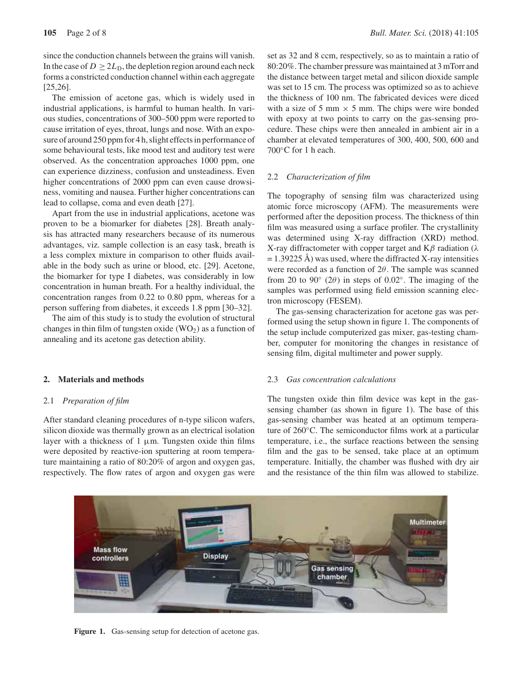since the conduction channels between the grains will vanish. In the case of  $D \geq 2L_D$ , the depletion region around each neck forms a constricted conduction channel within each aggregate [25,26].

The emission of acetone gas, which is widely used in industrial applications, is harmful to human health. In various studies, concentrations of 300–500 ppm were reported to cause irritation of eyes, throat, lungs and nose. With an exposure of around 250 ppm for 4 h, slight effects in performance of some behavioural tests, like mood test and auditory test were observed. As the concentration approaches 1000 ppm, one can experience dizziness, confusion and unsteadiness. Even higher concentrations of 2000 ppm can even cause drowsiness, vomiting and nausea. Further higher concentrations can lead to collapse, coma and even death [27].

Apart from the use in industrial applications, acetone was proven to be a biomarker for diabetes [28]. Breath analysis has attracted many researchers because of its numerous advantages, viz. sample collection is an easy task, breath is a less complex mixture in comparison to other fluids available in the body such as urine or blood, etc. [29]. Acetone, the biomarker for type I diabetes, was considerably in low concentration in human breath. For a healthy individual, the concentration ranges from 0.22 to 0.80 ppm, whereas for a person suffering from diabetes, it exceeds 1.8 ppm [30–32].

The aim of this study is to study the evolution of structural changes in thin film of tungsten oxide  $(WO_2)$  as a function of annealing and its acetone gas detection ability.

## **2. Materials and methods**

#### 2.1 *Preparation of film*

After standard cleaning procedures of n-type silicon wafers, silicon dioxide was thermally grown as an electrical isolation layer with a thickness of  $1 \mu m$ . Tungsten oxide thin films were deposited by reactive-ion sputtering at room temperature maintaining a ratio of 80:20% of argon and oxygen gas, respectively. The flow rates of argon and oxygen gas were set as 32 and 8 ccm, respectively, so as to maintain a ratio of 80:20%. The chamber pressure was maintained at 3 mTorr and the distance between target metal and silicon dioxide sample was set to 15 cm. The process was optimized so as to achieve the thickness of 100 nm. The fabricated devices were diced with a size of 5 mm  $\times$  5 mm. The chips were wire bonded with epoxy at two points to carry on the gas-sensing procedure. These chips were then annealed in ambient air in a chamber at elevated temperatures of 300, 400, 500, 600 and 700<sup>°</sup>C for 1 h each.

#### 2.2 *Characterization of film*

The topography of sensing film was characterized using atomic force microscopy (AFM). The measurements were performed after the deposition process. The thickness of thin film was measured using a surface profiler. The crystallinity was determined using X-ray diffraction (XRD) method. X-ray diffractometer with copper target and  $K\beta$  radiation ( $\lambda$  $= 1.39225$  Å) was used, where the diffracted X-ray intensities were recorded as a function of  $2\theta$ . The sample was scanned from 20 to 90 $^{\circ}$  (2 $\theta$ ) in steps of 0.02 $^{\circ}$ . The imaging of the samples was performed using field emission scanning electron microscopy (FESEM).

The gas-sensing characterization for acetone gas was performed using the setup shown in figure 1. The components of the setup include computerized gas mixer, gas-testing chamber, computer for monitoring the changes in resistance of sensing film, digital multimeter and power supply.

## 2.3 *Gas concentration calculations*

The tungsten oxide thin film device was kept in the gassensing chamber (as shown in figure 1). The base of this gas-sensing chamber was heated at an optimum temperature of 260◦C. The semiconductor films work at a particular temperature, i.e., the surface reactions between the sensing film and the gas to be sensed, take place at an optimum temperature. Initially, the chamber was flushed with dry air and the resistance of the thin film was allowed to stabilize.



Figure 1. Gas-sensing setup for detection of acetone gas.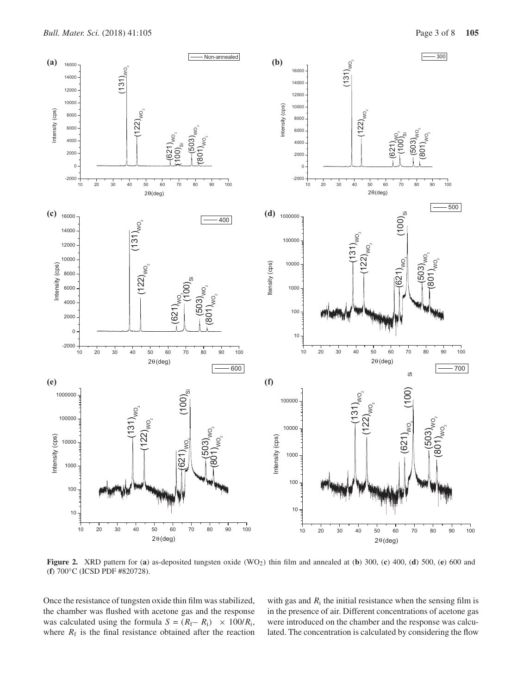

**Figure 2.** XRD pattern for (a) as-deposited tungsten oxide (WO<sub>2</sub>) thin film and annealed at (b) 300, (c) 400, (d) 500, (e) 600 and (**f**) 700◦C (ICSD PDF #820728).

Once the resistance of tungsten oxide thin film was stabilized, the chamber was flushed with acetone gas and the response was calculated using the formula  $S = (R_f - R_i) \times 100/R_i$ , where  $R_f$  is the final resistance obtained after the reaction

with gas and  $R_i$  the initial resistance when the sensing film is in the presence of air. Different concentrations of acetone gas were introduced on the chamber and the response was calculated. The concentration is calculated by considering the flow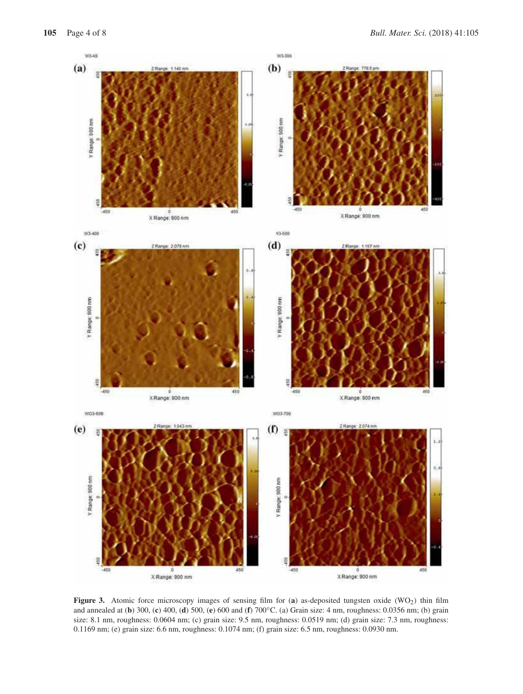

**Figure 3.** Atomic force microscopy images of sensing film for (a) as-deposited tungsten oxide (WO<sub>2</sub>) thin film and annealed at (**b**) 300, (**c**) 400, (**d**) 500, (**e**) 600 and (**f**) 700◦C. (a) Grain size: 4 nm, roughness: 0.0356 nm; (b) grain size: 8.1 nm, roughness: 0.0604 nm; (c) grain size: 9.5 nm, roughness: 0.0519 nm; (d) grain size: 7.3 nm, roughness: 0.1169 nm; (e) grain size: 6.6 nm, roughness: 0.1074 nm; (f) grain size: 6.5 nm, roughness: 0.0930 nm.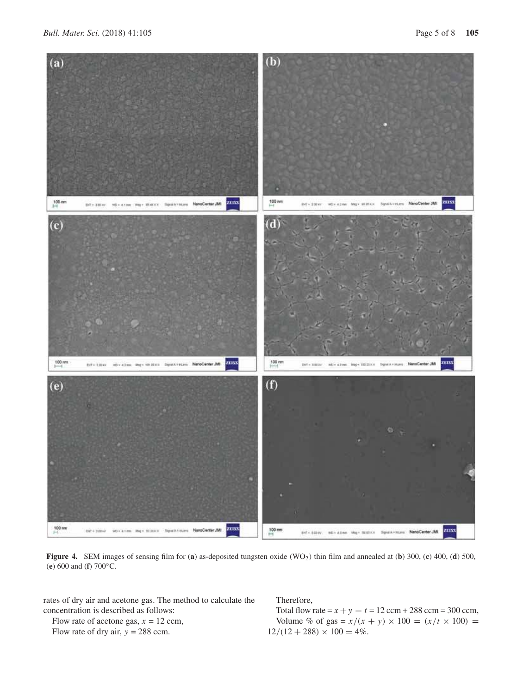

**Figure 4.** SEM images of sensing film for (**a**) as-deposited tungsten oxide (WO<sub>2</sub>) thin film and annealed at (**b**) 300, (**c**) 400, (**d**) 500, (**e**) 600 and (**f**) 700◦C.

rates of dry air and acetone gas. The method to calculate the concentration is described as follows:

Flow rate of acetone gas,  $x = 12$  ccm,

Flow rate of dry air,  $y = 288$  ccm.

Therefore,

Total flow rate =  $x + y = t = 12$  ccm + 288 ccm = 300 ccm, Volume % of gas =  $x/(x + y) \times 100 = (x/t \times 100) =$  $12/(12 + 288) \times 100 = 4\%.$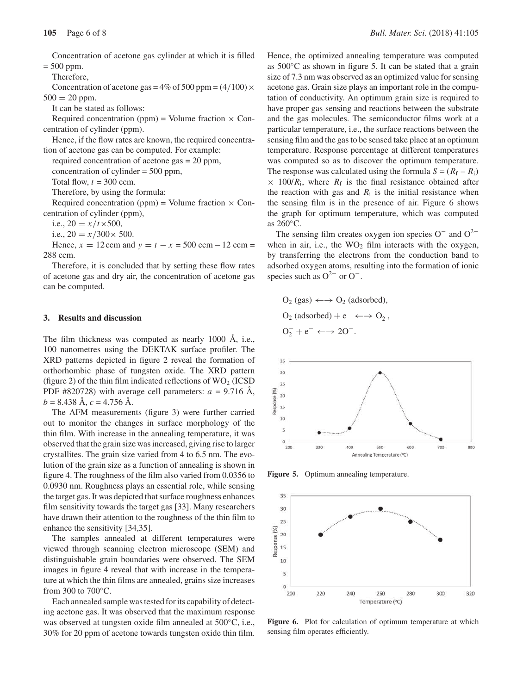Concentration of acetone gas cylinder at which it is filled  $= 500$  ppm.

Therefore,

Concentration of acetone gas =  $4\%$  of 500 ppm =  $(4/100) \times$  $500 = 20$  ppm.

It can be stated as follows:

Required concentration (ppm) = Volume fraction  $\times$  Concentration of cylinder (ppm).

Hence, if the flow rates are known, the required concentration of acetone gas can be computed. For example:

required concentration of acetone gas = 20 ppm,

concentration of cylinder = 500 ppm,

Total flow,  $t = 300$  ccm.

Therefore, by using the formula:

Required concentration (ppm) = Volume fraction  $\times$  Concentration of cylinder (ppm),

i.e.,  $20 = x/t \times 500$ ,

i.e.,  $20 = x/300 \times 500$ .

Hence,  $x = 12$  ccm and  $y = t - x = 500$  ccm  $-12$  ccm = 288 ccm.

Therefore, it is concluded that by setting these flow rates of acetone gas and dry air, the concentration of acetone gas can be computed.

#### **3. Results and discussion**

The film thickness was computed as nearly 1000 Å, i.e., 100 nanometres using the DEKTAK surface profiler. The XRD patterns depicted in figure 2 reveal the formation of orthorhombic phase of tungsten oxide. The XRD pattern (figure 2) of the thin film indicated reflections of  $WO_2$  (ICSD) PDF #820728) with average cell parameters:  $a = 9.716$  Å,  $b = 8.438$  Å,  $c = 4.756$  Å.

The AFM measurements (figure 3) were further carried out to monitor the changes in surface morphology of the thin film. With increase in the annealing temperature, it was observed that the grain size was increased, giving rise to larger crystallites. The grain size varied from 4 to 6.5 nm. The evolution of the grain size as a function of annealing is shown in figure 4. The roughness of the film also varied from 0.0356 to 0.0930 nm. Roughness plays an essential role, while sensing the target gas. It was depicted that surface roughness enhances film sensitivity towards the target gas [33]. Many researchers have drawn their attention to the roughness of the thin film to enhance the sensitivity [34,35].

The samples annealed at different temperatures were viewed through scanning electron microscope (SEM) and distinguishable grain boundaries were observed. The SEM images in figure 4 reveal that with increase in the temperature at which the thin films are annealed, grains size increases from 300 to  $700^{\circ}$ C.

Each annealed sample was tested for its capability of detecting acetone gas. It was observed that the maximum response was observed at tungsten oxide film annealed at 500◦C, i.e., 30% for 20 ppm of acetone towards tungsten oxide thin film. Hence, the optimized annealing temperature was computed as 500◦C as shown in figure 5. It can be stated that a grain size of 7.3 nm was observed as an optimized value for sensing acetone gas. Grain size plays an important role in the computation of conductivity. An optimum grain size is required to have proper gas sensing and reactions between the substrate and the gas molecules. The semiconductor films work at a particular temperature, i.e., the surface reactions between the sensing film and the gas to be sensed take place at an optimum temperature. Response percentage at different temperatures was computed so as to discover the optimum temperature. The response was calculated using the formula  $S = (R_f - R_i)$  $\times$  100/*R*<sub>i</sub>, where *R*<sub>f</sub> is the final resistance obtained after the reaction with gas and  $R_i$  is the initial resistance when the sensing film is in the presence of air. Figure 6 shows the graph for optimum temperature, which was computed as 260◦C.

The sensing film creates oxygen ion species  $O^-$  and  $O^{2-}$ when in air, i.e., the  $WO<sub>2</sub>$  film interacts with the oxygen, by transferring the electrons from the conduction band to adsorbed oxygen atoms, resulting into the formation of ionic species such as  $O^{2-}$  or  $O^-$ .

$$
O_2(gas) \leftarrow \rightarrow O_2 \text{ (adsorbed)},
$$
  
\n
$$
O_2 \text{ (adsorbed)} + e^- \leftarrow \rightarrow O_2^-,
$$
  
\n
$$
O_2^- + e^- \leftarrow \rightarrow 2O^-.
$$



**Figure 5.** Optimum annealing temperature.



**Figure 6.** Plot for calculation of optimum temperature at which sensing film operates efficiently.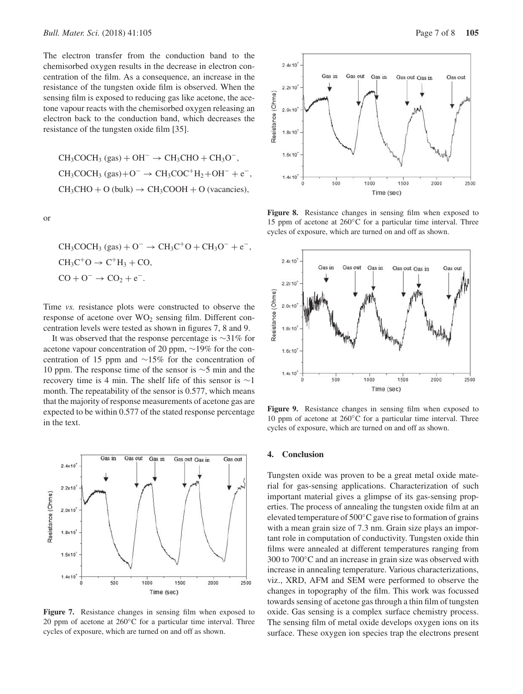The electron transfer from the conduction band to the chemisorbed oxygen results in the decrease in electron concentration of the film. As a consequence, an increase in the resistance of the tungsten oxide film is observed. When the sensing film is exposed to reducing gas like acetone, the acetone vapour reacts with the chemisorbed oxygen releasing an electron back to the conduction band, which decreases the resistance of the tungsten oxide film [35].

$$
CH_3COCH_3 (gas) + OH^- \rightarrow CH_3CHO + CH_3O^-,
$$
  
\n
$$
CH_3COCH_3 (gas) + O^- \rightarrow CH_3COC^+H_2 + OH^- + e^-,
$$
  
\n
$$
CH_3CHO + O (bulk) \rightarrow CH_3COOH + O (vacancies),
$$

or

$$
CH_3COCH_3(gas) + O^- \rightarrow CH_3C^+O + CH_3O^- + e^-,
$$
  
\n
$$
CH_3C^+O \rightarrow C^+H_3 + CO,
$$
  
\n
$$
CO + O^- \rightarrow CO_2 + e^-.
$$

Time *vs.* resistance plots were constructed to observe the response of acetone over  $WO<sub>2</sub>$  sensing film. Different concentration levels were tested as shown in figures 7, 8 and 9.

It was observed that the response percentage is ∼31% for acetone vapour concentration of 20 ppm, ∼19% for the concentration of 15 ppm and ∼15% for the concentration of 10 ppm. The response time of the sensor is ∼5 min and the recovery time is 4 min. The shelf life of this sensor is ∼1 month. The repeatability of the sensor is 0.577, which means that the majority of response measurements of acetone gas are expected to be within 0.577 of the stated response percentage in the text.



**Figure 7.** Resistance changes in sensing film when exposed to 20 ppm of acetone at 260◦C for a particular time interval. Three cycles of exposure, which are turned on and off as shown.



**Figure 8.** Resistance changes in sensing film when exposed to 15 ppm of acetone at 260◦C for a particular time interval. Three cycles of exposure, which are turned on and off as shown.



**Figure 9.** Resistance changes in sensing film when exposed to 10 ppm of acetone at 260◦C for a particular time interval. Three cycles of exposure, which are turned on and off as shown.

### **4. Conclusion**

Tungsten oxide was proven to be a great metal oxide material for gas-sensing applications. Characterization of such important material gives a glimpse of its gas-sensing properties. The process of annealing the tungsten oxide film at an elevated temperature of 500◦C gave rise to formation of grains with a mean grain size of 7.3 nm. Grain size plays an important role in computation of conductivity. Tungsten oxide thin films were annealed at different temperatures ranging from 300 to 700◦C and an increase in grain size was observed with increase in annealing temperature. Various characterizations, viz., XRD, AFM and SEM were performed to observe the changes in topography of the film. This work was focussed towards sensing of acetone gas through a thin film of tungsten oxide. Gas sensing is a complex surface chemistry process. The sensing film of metal oxide develops oxygen ions on its surface. These oxygen ion species trap the electrons present